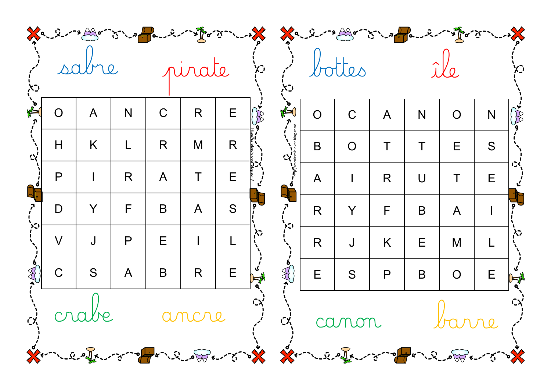| べつ |                |              |              |              | pirate             |             | יבאָ       |                       |                | bottes         |              |           |                | <b>XC</b>   |   |  |  |  |  |
|----|----------------|--------------|--------------|--------------|--------------------|-------------|------------|-----------------------|----------------|----------------|--------------|-----------|----------------|-------------|---|--|--|--|--|
|    | $\overline{O}$ | $\mathsf{A}$ | N            | $\mathsf C$  | $\mathsf{R}% _{T}$ | E           | $\delta$   | $\sum_{r=1}^{\infty}$ | $\overline{O}$ | $\mathsf C$    | $\mathsf{A}$ | N         | O              | N           |   |  |  |  |  |
| ぐ  | H              | K            | L            | R            | M                  | R           |            |                       | B              | $\overline{O}$ | $\top$       | $\top$    | E              | S           |   |  |  |  |  |
|    | $\mathsf{P}$   |              | R            | $\mathsf{A}$ | $\top$             | $\mathsf E$ |            |                       | $\mathsf{A}$   | $\mathsf{I}$   | R            | $\bigcup$ | T              | E           |   |  |  |  |  |
|    | D              | Y            | F            | B            | $\overline{A}$     | S           |            | יגי                   | $\mathsf{R}$   | Y              | F            | B         | $\mathsf{A}$   |             |   |  |  |  |  |
|    | $\vee$         | J            | $\mathsf{P}$ | E            |                    |             |            |                       | R              | J              | K            | E         | M              |             | ☆ |  |  |  |  |
|    | $\mathsf C$    | S            | $\mathsf{A}$ | $\mathsf B$  | $\mathsf{R}$       | E           | <b>VEN</b> | EC                    | $\mathsf E$    | S              | $\mathsf{P}$ | B         | $\overline{O}$ | $\mathsf E$ |   |  |  |  |  |
|    |                |              |              |              | de anon barre      |             |            |                       |                |                |              |           |                |             |   |  |  |  |  |
|    |                |              |              |              |                    |             |            |                       |                |                |              |           |                |             |   |  |  |  |  |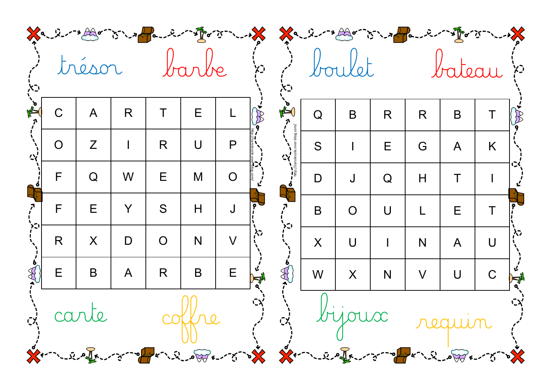|   | Xa - 2-11 Ar is a fame in the street to the Sa - 2-11 Ar is a fame in the street<br>trésor<br>barbe<br>ָ<br>וְ |              |                |                                                   |             |                |   |                                        |              | boulet         |             |        | ֿיבֿאָ <sup>י</sup> |             |   |
|---|----------------------------------------------------------------------------------------------------------------|--------------|----------------|---------------------------------------------------|-------------|----------------|---|----------------------------------------|--------------|----------------|-------------|--------|---------------------|-------------|---|
|   | $\mathsf C$                                                                                                    | $\mathsf{A}$ | $\mathsf{R}$   | T                                                 | $\mathsf E$ |                | B | $\sum_{r=1}^{n}$                       | $\mathsf Q$  | $\mathsf B$    | R           | R      | bateau<br>B         | Τ           |   |
| ぐ | $\overline{O}$                                                                                                 | Z            |                | R                                                 | $\bigcup$   | $\mathsf{P}$   |   |                                        | S            |                | E           | G      | $\mathsf{A}$        | K           |   |
|   | F                                                                                                              | Q            | W              | E                                                 | M           | $\overline{O}$ |   |                                        | $\mathsf{D}$ | J              | $\mathsf Q$ | H      | Τ                   |             |   |
| こ | F                                                                                                              | E            | Y              | S                                                 | H           |                |   |                                        | B            | $\overline{O}$ | $\bigcup$   |        | E                   | T           |   |
|   | R                                                                                                              | X            | $\mathsf{D}$   | $\overline{O}$                                    | N           | $\vee$         | や |                                        | X            | $\bigcup$      |             | N      | $\mathsf{A}$        | $\bigcup$   | 心 |
|   | E                                                                                                              | B            | $\overline{A}$ | R                                                 | $\sf B$     | E              |   | $\begin{pmatrix} 1 \\ 2 \end{pmatrix}$ | W            | X              | N           | $\vee$ | $\bigcup$           | $\mathsf C$ |   |
|   |                                                                                                                |              |                | à carte coffre d'a bijoux requin<br>$\frac{1}{2}$ |             |                |   |                                        |              |                |             |        |                     |             |   |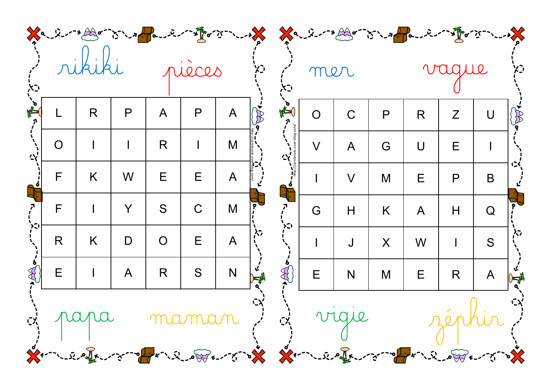|    |                | Xa - 2-11 Ar - 75 - 1 Pa - 2-1 - 1 For 3 - 1 - 1 Xa - 2-1 + Ar - 7 - 1 - 1 Pa - 2-1 - 1 For 3 - 1 - 1 X                                            |              |                |             |              |              |              |                |              |              |              |   |              |              |
|----|----------------|----------------------------------------------------------------------------------------------------------------------------------------------------|--------------|----------------|-------------|--------------|--------------|--------------|----------------|--------------|--------------|--------------|---|--------------|--------------|
| べつ |                |                                                                                                                                                    |              | rueces         |             |              |              |              | mer            |              |              | vague        |   | ΧJ,          |              |
|    |                | R                                                                                                                                                  | $\mathsf{P}$ | $\bigwedge$    | P           | $\mathsf{A}$ | $\cancel{8}$ | NEW          | $\overline{O}$ | $\mathsf C$  | $\mathsf{P}$ | R            | Z | U            | $\mathbb{R}$ |
| ぐ  | $\overline{O}$ |                                                                                                                                                    |              | R              |             | M            |              |              | $\vee$         | $\mathsf{A}$ | G            | $\bigcup$    | E |              |              |
|    | F              | K                                                                                                                                                  | W            | E              | E           | $\mathsf{A}$ |              |              | $\mathbf{I}$   | $\vee$       | M            | E            | P | B            |              |
|    | F              |                                                                                                                                                    | Y            | S              | $\mathsf C$ | M            |              | ו⊃ל          | G              | H            | K            | $\mathsf{A}$ | H | Q            |              |
| こ  | R              | K                                                                                                                                                  | $\mathsf D$  | $\overline{O}$ | Ε           | $\mathsf{A}$ | 心            |              |                | J            | X            | W            |   | S            | 心            |
|    | E              | $\mathsf{I}$                                                                                                                                       | $\mathsf{A}$ | R              | S           | N            |              | $\mathbb{R}$ | $\mathsf E$    | N            | M            | E            | R | $\mathsf{A}$ |              |
|    |                | d'papa maman d'a vigue séphin d<br>Arm 200 from the company of the state of the Company of the state of the state of the state of the state of the |              |                |             |              |              |              |                |              |              |              |   |              |              |